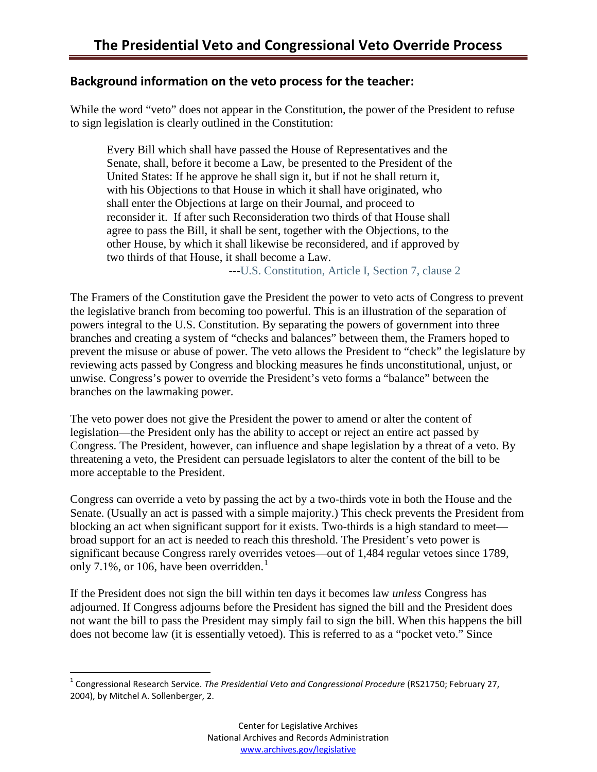# **Background information on the veto process for the teacher:**

While the word "veto" does not appear in the Constitution, the power of the President to refuse to sign legislation is clearly outlined in the Constitution:

Every Bill which shall have passed the House of Representatives and the Senate, shall, before it become a Law, be presented to the President of the United States: If he approve he shall sign it, but if not he shall return it, with his Objections to that House in which it shall have originated, who shall enter the Objections at large on their Journal, and proceed to reconsider it. If after such Reconsideration two thirds of that House shall agree to pass the Bill, it shall be sent, together with the Objections, to the other House, by which it shall likewise be reconsidered, and if approved by two thirds of that House, it shall become a Law.

--[-U.S. Constitution, Article I, Section 7, clause 2](http://www.archives.gov/exhibits/charters/constitution_transcript.html#1.7)

The Framers of the Constitution gave the President the power to veto acts of Congress to prevent the legislative branch from becoming too powerful. This is an illustration of the separation of powers integral to the U.S. Constitution. By separating the powers of government into three branches and creating a system of "checks and balances" between them, the Framers hoped to prevent the misuse or abuse of power. The veto allows the President to "check" the legislature by reviewing acts passed by Congress and blocking measures he finds unconstitutional, unjust, or unwise. Congress's power to override the President's veto forms a "balance" between the branches on the lawmaking power.

The veto power does not give the President the power to amend or alter the content of legislation—the President only has the ability to accept or reject an entire act passed by Congress. The President, however, can influence and shape legislation by a threat of a veto. By threatening a veto, the President can persuade legislators to alter the content of the bill to be more acceptable to the President.

Congress can override a veto by passing the act by a two-thirds vote in both the House and the Senate. (Usually an act is passed with a simple majority.) This check prevents the President from blocking an act when significant support for it exists. Two-thirds is a high standard to meet broad support for an act is needed to reach this threshold. The President's veto power is significant because Congress rarely overrides vetoes—out of 1,484 regular vetoes since 1789, only 7.[1](#page-0-0)%, or 106, have been overridden.<sup>1</sup>

If the President does not sign the bill within ten days it becomes law *unless* Congress has adjourned. If Congress adjourns before the President has signed the bill and the President does not want the bill to pass the President may simply fail to sign the bill. When this happens the bill does not become law (it is essentially vetoed). This is referred to as a "pocket veto." Since

<span id="page-0-0"></span> <sup>1</sup> Congressional Research Service. *The Presidential Veto and Congressional Procedure* (RS21750; February 27, 2004), by Mitchel A. Sollenberger, 2.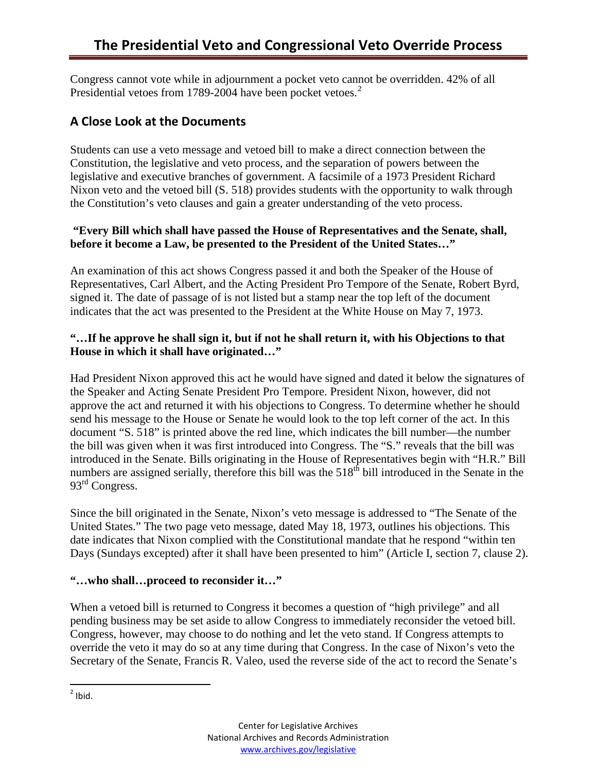Congress cannot vote while in adjournment a pocket veto cannot be overridden. 42% of all Presidential vetoes from 1789-[2](#page-1-0)004 have been pocket vetoes.<sup>2</sup>

# **A Close Look at the Documents**

Students can use a veto message and vetoed bill to make a direct connection between the Constitution, the legislative and veto process, and the separation of powers between the legislative and executive branches of government. A facsimile of a 1973 President Richard Nixon veto and the vetoed bill (S. 518) provides students with the opportunity to walk through the Constitution's veto clauses and gain a greater understanding of the veto process.

## **"Every Bill which shall have passed the House of Representatives and the Senate, shall, before it become a Law, be presented to the President of the United States…"**

An examination of this act shows Congress passed it and both the Speaker of the House of Representatives, Carl Albert, and the Acting President Pro Tempore of the Senate, Robert Byrd, signed it. The date of passage of is not listed but a stamp near the top left of the document indicates that the act was presented to the President at the White House on May 7, 1973.

#### **"…If he approve he shall sign it, but if not he shall return it, with his Objections to that House in which it shall have originated…"**

Had President Nixon approved this act he would have signed and dated it below the signatures of the Speaker and Acting Senate President Pro Tempore. President Nixon, however, did not approve the act and returned it with his objections to Congress. To determine whether he should send his message to the House or Senate he would look to the top left corner of the act. In this document "S. 518" is printed above the red line, which indicates the bill number—the number the bill was given when it was first introduced into Congress. The "S." reveals that the bill was introduced in the Senate. Bills originating in the House of Representatives begin with "H.R." Bill numbers are assigned serially, therefore this bill was the 518<sup>th</sup> bill introduced in the Senate in the 93<sup>rd</sup> Congress.

Since the bill originated in the Senate, Nixon's veto message is addressed to "The Senate of the United States." The two page veto message, dated May 18, 1973, outlines his objections. This date indicates that Nixon complied with the Constitutional mandate that he respond "within ten Days (Sundays excepted) after it shall have been presented to him" (Article I, section 7, clause 2).

#### **"…who shall…proceed to reconsider it…"**

When a vetoed bill is returned to Congress it becomes a question of "high privilege" and all pending business may be set aside to allow Congress to immediately reconsider the vetoed bill. Congress, however, may choose to do nothing and let the veto stand. If Congress attempts to override the veto it may do so at any time during that Congress. In the case of Nixon's veto the Secretary of the Senate, Francis R. Valeo, used the reverse side of the act to record the Senate's

<span id="page-1-0"></span> $<sup>2</sup>$  Ibid.</sup>